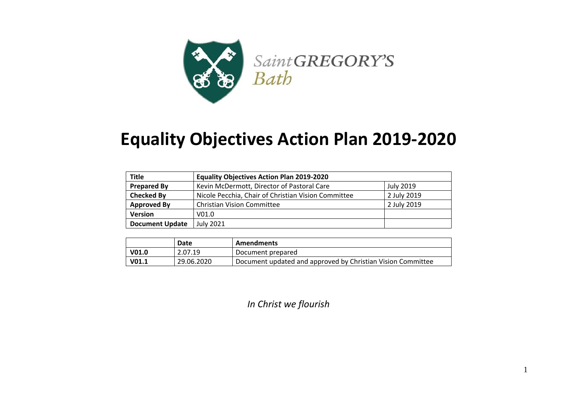

## **Equality Objectives Action Plan 2019-2020**

| <b>Title</b>           | <b>Equality Objectives Action Plan 2019-2020</b>    |                  |
|------------------------|-----------------------------------------------------|------------------|
| <b>Prepared By</b>     | Kevin McDermott, Director of Pastoral Care          | <b>July 2019</b> |
| <b>Checked By</b>      | Nicole Pecchia, Chair of Christian Vision Committee | 2 July 2019      |
| <b>Approved By</b>     | <b>Christian Vision Committee</b>                   | 2 July 2019      |
| <b>Version</b>         | V <sub>01.0</sub>                                   |                  |
| <b>Document Update</b> | July 2021                                           |                  |

|                   | Date       | <b>Amendments</b>                                           |
|-------------------|------------|-------------------------------------------------------------|
| V <sub>01.0</sub> | 2.07.19    | Document prepared                                           |
| V <sub>01.1</sub> | 29.06.2020 | Document updated and approved by Christian Vision Committee |

*In Christ we flourish*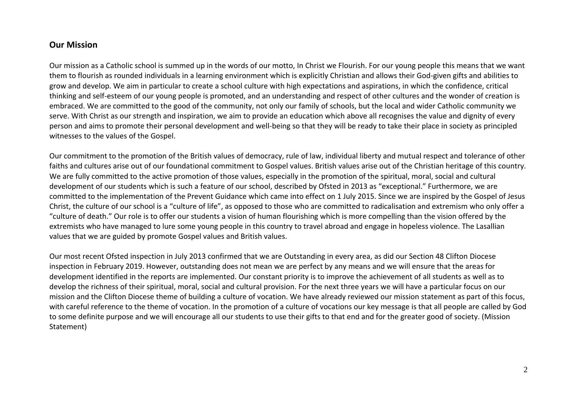## **Our Mission**

Our mission as a Catholic school is summed up in the words of our motto, In Christ we Flourish. For our young people this means that we want them to flourish as rounded individuals in a learning environment which is explicitly Christian and allows their God-given gifts and abilities to grow and develop. We aim in particular to create a school culture with high expectations and aspirations, in which the confidence, critical thinking and self-esteem of our young people is promoted, and an understanding and respect of other cultures and the wonder of creation is embraced. We are committed to the good of the community, not only our family of schools, but the local and wider Catholic community we serve. With Christ as our strength and inspiration, we aim to provide an education which above all recognises the value and dignity of every person and aims to promote their personal development and well-being so that they will be ready to take their place in society as principled witnesses to the values of the Gospel.

Our commitment to the promotion of the British values of democracy, rule of law, individual liberty and mutual respect and tolerance of other faiths and cultures arise out of our foundational commitment to Gospel values. British values arise out of the Christian heritage of this country. We are fully committed to the active promotion of those values, especially in the promotion of the spiritual, moral, social and cultural development of our students which is such a feature of our school, described by Ofsted in 2013 as "exceptional." Furthermore, we are committed to the implementation of the Prevent Guidance which came into effect on 1 July 2015. Since we are inspired by the Gospel of Jesus Christ, the culture of our school is a "culture of life", as opposed to those who are committed to radicalisation and extremism who only offer a "culture of death." Our role is to offer our students a vision of human flourishing which is more compelling than the vision offered by the extremists who have managed to lure some young people in this country to travel abroad and engage in hopeless violence. The Lasallian values that we are guided by promote Gospel values and British values.

Our most recent Ofsted inspection in July 2013 confirmed that we are Outstanding in every area, as did our Section 48 Clifton Diocese inspection in February 2019. However, outstanding does not mean we are perfect by any means and we will ensure that the areas for development identified in the reports are implemented. Our constant priority is to improve the achievement of all students as well as to develop the richness of their spiritual, moral, social and cultural provision. For the next three years we will have a particular focus on our mission and the Clifton Diocese theme of building a culture of vocation. We have already reviewed our mission statement as part of this focus, with careful reference to the theme of vocation. In the promotion of a culture of vocations our key message is that all people are called by God to some definite purpose and we will encourage all our students to use their gifts to that end and for the greater good of society. (Mission Statement)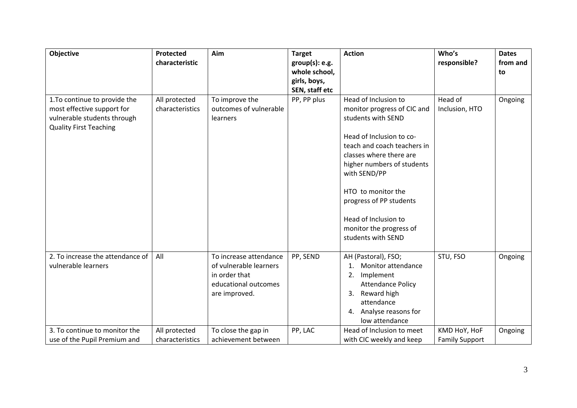| <b>Objective</b>                                            | Protected                        | Aim                                      | <b>Target</b>  | <b>Action</b>                               | Who's                 | <b>Dates</b> |
|-------------------------------------------------------------|----------------------------------|------------------------------------------|----------------|---------------------------------------------|-----------------------|--------------|
|                                                             | characteristic                   |                                          | group(s): e.g. |                                             | responsible?          | from and     |
|                                                             |                                  |                                          | whole school,  |                                             |                       | to           |
|                                                             |                                  |                                          | girls, boys,   |                                             |                       |              |
|                                                             |                                  |                                          | SEN, staff etc | Head of Inclusion to                        | Head of               |              |
| 1. To continue to provide the<br>most effective support for | All protected<br>characteristics | To improve the<br>outcomes of vulnerable | PP, PP plus    | monitor progress of CIC and                 | Inclusion, HTO        | Ongoing      |
| vulnerable students through                                 |                                  | learners                                 |                | students with SEND                          |                       |              |
| <b>Quality First Teaching</b>                               |                                  |                                          |                |                                             |                       |              |
|                                                             |                                  |                                          |                | Head of Inclusion to co-                    |                       |              |
|                                                             |                                  |                                          |                | teach and coach teachers in                 |                       |              |
|                                                             |                                  |                                          |                | classes where there are                     |                       |              |
|                                                             |                                  |                                          |                | higher numbers of students                  |                       |              |
|                                                             |                                  |                                          |                | with SEND/PP                                |                       |              |
|                                                             |                                  |                                          |                | HTO to monitor the                          |                       |              |
|                                                             |                                  |                                          |                | progress of PP students                     |                       |              |
|                                                             |                                  |                                          |                | Head of Inclusion to                        |                       |              |
|                                                             |                                  |                                          |                | monitor the progress of                     |                       |              |
|                                                             |                                  |                                          |                | students with SEND                          |                       |              |
| 2. To increase the attendance of                            | All                              | To increase attendance                   | PP, SEND       | AH (Pastoral), FSO;                         | STU, FSO              | Ongoing      |
| vulnerable learners                                         |                                  | of vulnerable learners                   |                | Monitor attendance                          |                       |              |
|                                                             |                                  | in order that                            |                | Implement<br>2.                             |                       |              |
|                                                             |                                  | educational outcomes                     |                | <b>Attendance Policy</b>                    |                       |              |
|                                                             |                                  | are improved.                            |                | Reward high<br>3.                           |                       |              |
|                                                             |                                  |                                          |                | attendance                                  |                       |              |
|                                                             |                                  |                                          |                | Analyse reasons for<br>4.                   |                       |              |
| 3. To continue to monitor the                               | All protected                    | To close the gap in                      | PP, LAC        | low attendance<br>Head of Inclusion to meet | KMD HoY, HoF          | Ongoing      |
| use of the Pupil Premium and                                | characteristics                  | achievement between                      |                | with CIC weekly and keep                    | <b>Family Support</b> |              |